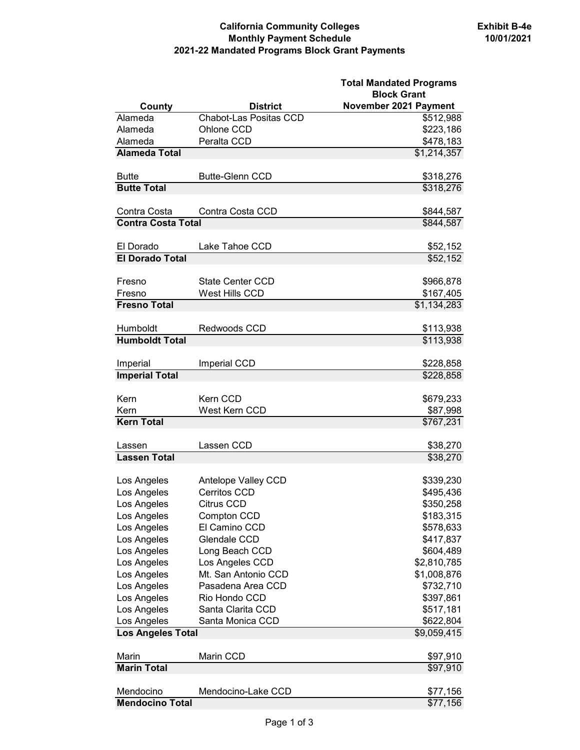## **California Community Colleges Monthly Payment Schedule 2021-22 Mandated Programs Block Grant Payments**

|                            |                               | <b>Total Mandated Programs</b><br><b>Block Grant</b> |
|----------------------------|-------------------------------|------------------------------------------------------|
| County                     | <b>District</b>               | November 2021 Payment                                |
| Alameda                    | <b>Chabot-Las Positas CCD</b> | \$512,988                                            |
| Alameda                    | Ohlone CCD                    | \$223,186                                            |
| Alameda                    | Peralta CCD                   | \$478,183                                            |
| <b>Alameda Total</b>       |                               | \$1,214,357                                          |
| <b>Butte</b>               | <b>Butte-Glenn CCD</b>        | \$318,276                                            |
| <b>Butte Total</b>         |                               | \$318,276                                            |
| Contra Costa               | Contra Costa CCD              | \$844,587                                            |
| <b>Contra Costa Total</b>  |                               | \$844,587                                            |
| El Dorado                  | Lake Tahoe CCD                | \$52,152                                             |
| <b>El Dorado Total</b>     |                               | \$52,152                                             |
|                            |                               |                                                      |
| Fresno                     | <b>State Center CCD</b>       | \$966,878                                            |
| Fresno                     | West Hills CCD                | \$167,405                                            |
| <b>Fresno Total</b>        |                               | $\overline{31,}134,283$                              |
|                            |                               |                                                      |
| Humboldt                   | Redwoods CCD                  | \$113,938                                            |
| <b>Humboldt Total</b>      |                               | \$113,938                                            |
| Imperial                   | <b>Imperial CCD</b>           | \$228,858                                            |
| <b>Imperial Total</b>      |                               | \$228,858                                            |
|                            |                               |                                                      |
| Kern                       | Kern CCD                      | \$679,233                                            |
| Kern                       | West Kern CCD                 | \$87,998                                             |
| <b>Kern Total</b>          |                               | \$767,231                                            |
| Lassen                     | Lassen CCD                    | \$38,270                                             |
| <b>Lassen Total</b>        |                               | \$38,270                                             |
| Los Angeles                | Antelope Valley CCD           | \$339,230                                            |
| Los Angeles                | <b>Cerritos CCD</b>           | \$495,436                                            |
| Los Angeles                | Citrus CCD                    | \$350,258                                            |
| Los Angeles                | Compton CCD                   | \$183,315                                            |
| Los Angeles                | El Camino CCD                 | \$578,633                                            |
| Los Angeles                | Glendale CCD                  | \$417,837                                            |
| Los Angeles                | Long Beach CCD                | \$604,489                                            |
| Los Angeles                | Los Angeles CCD               | \$2,810,785                                          |
| Los Angeles                | Mt. San Antonio CCD           | \$1,008,876                                          |
| Los Angeles                | Pasadena Area CCD             | \$732,710                                            |
| Los Angeles                | Rio Hondo CCD                 | \$397,861                                            |
|                            | Santa Clarita CCD             |                                                      |
| Los Angeles<br>Los Angeles | Santa Monica CCD              | \$517,181<br>\$622,804                               |
| <b>Los Angeles Total</b>   |                               | \$9,059,415                                          |
|                            |                               |                                                      |
| Marin                      | Marin CCD                     | \$97,910                                             |
| <b>Marin Total</b>         |                               | \$97,910                                             |
| Mendocino                  | Mendocino-Lake CCD            | \$77,156                                             |
| <b>Mendocino Total</b>     |                               | \$77,156                                             |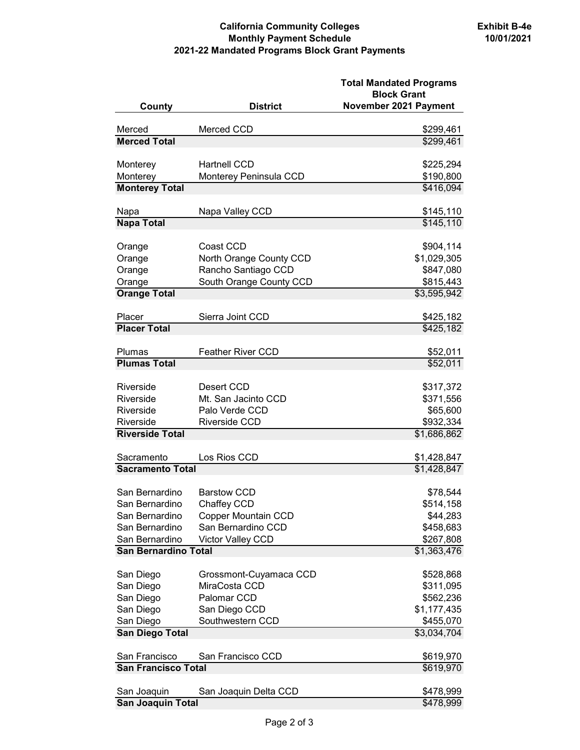## **California Community Colleges Monthly Payment Schedule 2021-22 Mandated Programs Block Grant Payments**

| County                      | <b>District</b>                               | <b>Total Mandated Programs</b><br><b>Block Grant</b><br>November 2021 Payment |
|-----------------------------|-----------------------------------------------|-------------------------------------------------------------------------------|
| Merced                      | Merced CCD                                    | \$299,461                                                                     |
| <b>Merced Total</b>         |                                               | \$299,461                                                                     |
|                             |                                               |                                                                               |
| Monterey<br>Monterey        | <b>Hartnell CCD</b><br>Monterey Peninsula CCD | \$225,294<br>\$190,800                                                        |
| <b>Monterey Total</b>       |                                               | \$416,094                                                                     |
|                             |                                               |                                                                               |
| Napa                        | Napa Valley CCD                               | \$145,110                                                                     |
| <b>Napa Total</b>           |                                               | \$145,110                                                                     |
| Orange                      | Coast CCD                                     | \$904,114                                                                     |
| Orange                      | North Orange County CCD                       | \$1,029,305                                                                   |
| Orange                      | Rancho Santiago CCD                           | \$847,080                                                                     |
| Orange                      | South Orange County CCD                       | \$815,443                                                                     |
| <b>Orange Total</b>         |                                               | \$3,595,942                                                                   |
| Placer                      | Sierra Joint CCD                              |                                                                               |
| <b>Placer Total</b>         |                                               | \$425,182<br>\$425,182                                                        |
|                             |                                               |                                                                               |
| Plumas                      | <b>Feather River CCD</b>                      | \$52,011                                                                      |
| <b>Plumas Total</b>         |                                               | \$52,011                                                                      |
| Riverside                   | Desert CCD                                    | \$317,372                                                                     |
| Riverside                   | Mt. San Jacinto CCD                           | \$371,556                                                                     |
| Riverside                   | Palo Verde CCD                                | \$65,600                                                                      |
| Riverside                   | <b>Riverside CCD</b>                          | \$932,334                                                                     |
| <b>Riverside Total</b>      |                                               | \$1,686,862                                                                   |
| Sacramento                  | Los Rios CCD                                  | \$1,428,847                                                                   |
| <b>Sacramento Total</b>     |                                               | \$1,428,847                                                                   |
|                             |                                               |                                                                               |
| San Bernardino              | <b>Barstow CCD</b>                            | \$78,544                                                                      |
| San Bernardino              | Chaffey CCD                                   | \$514,158                                                                     |
| San Bernardino              | <b>Copper Mountain CCD</b>                    | \$44,283                                                                      |
| San Bernardino              | San Bernardino CCD                            | \$458,683                                                                     |
| San Bernardino              | Victor Valley CCD                             | \$267,808                                                                     |
| <b>San Bernardino Total</b> |                                               | \$1,363,476                                                                   |
| San Diego                   | Grossmont-Cuyamaca CCD                        | \$528,868                                                                     |
| San Diego                   | MiraCosta CCD                                 | \$311,095                                                                     |
| San Diego                   | Palomar CCD                                   | \$562,236                                                                     |
| San Diego                   | San Diego CCD                                 | \$1,177,435                                                                   |
| San Diego                   | Southwestern CCD                              | \$455,070                                                                     |
| <b>San Diego Total</b>      |                                               | \$3,034,704                                                                   |
| San Francisco               | San Francisco CCD                             | \$619,970                                                                     |
| <b>San Francisco Total</b>  |                                               | \$619,970                                                                     |
|                             |                                               |                                                                               |
| San Joaquin                 | San Joaquin Delta CCD                         | \$478,999                                                                     |
| San Joaquin Total           |                                               | \$478,999                                                                     |